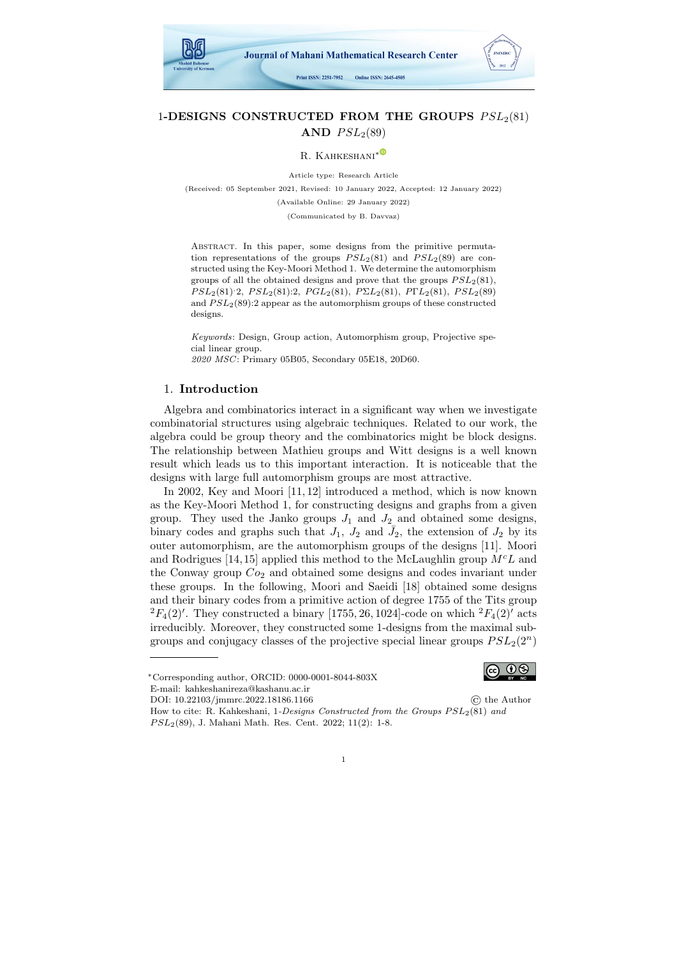

# 1-DESIGNS CONSTRUCTED FROM THE GROUPS  $PSL_2(81)$ AND  $PSL<sub>2</sub>(89)$

R. KAHKESHANI<sup>[∗](https://orcid.org/0000-0001-8044-803X)</sub>C</sup>

Article type: Research Article

(Received: 05 September 2021, Revised: 10 January 2022, Accepted: 12 January 2022)

(Available Online: 29 January 2022)

(Communicated by B. Davvaz)

ABSTRACT. In this paper, some designs from the primitive permutation representations of the groups  $PSL<sub>2</sub>(81)$  and  $PSL<sub>2</sub>(89)$  are constructed using the Key-Moori Method 1. We determine the automorphism groups of all the obtained designs and prove that the groups  $PSL<sub>2</sub>(81)$ ,  $PSL_2(81):2, PSL_2(81):2, PGL_2(81), P\Sigma L_2(81), P\Gamma L_2(81), PSL_2(89)$ and  $PSL_2(89)$ :2 appear as the automorphism groups of these constructed designs.

Keywords: Design, Group action, Automorphism group, Projective special linear group.

2020 MSC: Primary 05B05, Secondary 05E18, 20D60.

### 1. Introduction

Algebra and combinatorics interact in a significant way when we investigate combinatorial structures using algebraic techniques. Related to our work, the algebra could be group theory and the combinatorics might be block designs. The relationship between Mathieu groups and Witt designs is a well known result which leads us to this important interaction. It is noticeable that the designs with large full automorphism groups are most attractive.

In 2002, Key and Moori [\[11,](#page-7-0) [12\]](#page-7-1) introduced a method, which is now known as the Key-Moori Method 1, for constructing designs and graphs from a given group. They used the Janko groups  $J_1$  and  $J_2$  and obtained some designs, binary codes and graphs such that  $J_1$ ,  $J_2$  and  $\bar{J}_2$ , the extension of  $J_2$  by its outer automorphism, are the automorphism groups of the designs [\[11\]](#page-7-0). Moori and Rodrigues [\[14,](#page-7-2) [15\]](#page-7-3) applied this method to the McLaughlin group  $M<sup>c</sup>L$  and the Conway group  $Co<sub>2</sub>$  and obtained some designs and codes invariant under these groups. In the following, Moori and Saeidi [\[18\]](#page-7-4) obtained some designs and their binary codes from a primitive action of degree 1755 of the Tits group  ${}^{2}F_{4}(2)'$ . They constructed a binary [1755, 26, 1024]-code on which  ${}^{2}F_{4}(2)'$  acts irreducibly. Moreover, they constructed some 1-designs from the maximal subgroups and conjugacy classes of the projective special linear groups  $PSL_2(2^n)$ 



E-mail: kahkeshanireza@kashanu.ac.ir

DOI: 10.22103/jmmrc.2022.18186.1166 © the Author

How to cite: R. Kahkeshani, 1-Designs Constructed from the Groups  $PSL_2(81)$  and  $PSL<sub>2</sub>(89)$ , J. Mahani Math. Res. Cent. 2022; 11(2): 1-8.

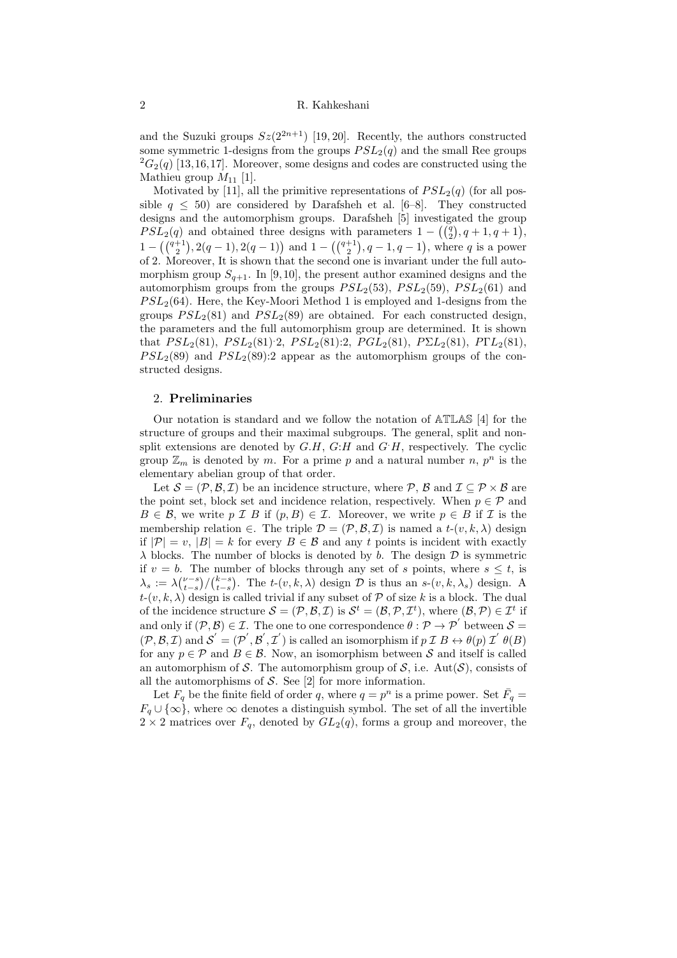and the Suzuki groups  $Sz(2^{2n+1})$  [\[19,](#page-7-5) [20\]](#page-7-6). Recently, the authors constructed some symmetric 1-designs from the groups  $PSL<sub>2</sub>(q)$  and the small Ree groups  ${}^{2}G_{2}(q)$  [\[13,](#page-7-7) [16,](#page-7-8) [17\]](#page-7-9). Moreover, some designs and codes are constructed using the Mathieu group  $M_{11}$  [\[1\]](#page-6-0).

Motivated by [\[11\]](#page-7-0), all the primitive representations of  $PSL<sub>2</sub>(q)$  (for all possible  $q \leq 50$ ) are considered by Darafsheh et al. [\[6](#page-6-1)[–8\]](#page-6-2). They constructed designs and the automorphism groups. Darafsheh [\[5\]](#page-6-3) investigated the group  $PSL<sub>2</sub>(q)$  and obtained three designs with parameters  $1 - ((\frac{q}{2}), q + 1, q + 1)$ ,  $1 - \left(\binom{q+1}{2}, 2(q-1), 2(q-1)\right)$  and  $1 - \left(\binom{q+1}{2}, q-1, q-1\right)$ , where q is a power of 2. Moreover, It is shown that the second one is invariant under the full automorphism group  $S_{q+1}$ . In [\[9,](#page-6-4)10], the present author examined designs and the automorphism groups from the groups  $PSL<sub>2</sub>(53)$ ,  $PSL<sub>2</sub>(59)$ ,  $PSL<sub>2</sub>(61)$  and  $PSL<sub>2</sub>(64)$ . Here, the Key-Moori Method 1 is employed and 1-designs from the groups  $PSL_2(81)$  and  $PSL_2(89)$  are obtained. For each constructed design, the parameters and the full automorphism group are determined. It is shown that  $PSL_2(81)$ ,  $PSL_2(81)$ :2,  $PSL_2(81)$ :2,  $PGL_2(81)$ ,  $P\Sigma L_2(81)$ ,  $P\Gamma L_2(81)$ ,  $PSL<sub>2</sub>(89)$  and  $PSL<sub>2</sub>(89):2$  appear as the automorphism groups of the constructed designs.

#### 2. Preliminaries

Our notation is standard and we follow the notation of ATLAS [\[4\]](#page-6-5) for the structure of groups and their maximal subgroups. The general, split and nonsplit extensions are denoted by  $G.H$ ,  $G:H$  and  $G'H$ , respectively. The cyclic group  $\mathbb{Z}_m$  is denoted by m. For a prime p and a natural number n,  $p^n$  is the elementary abelian group of that order.

Let  $S = (\mathcal{P}, \mathcal{B}, \mathcal{I})$  be an incidence structure, where  $\mathcal{P}, \mathcal{B}$  and  $\mathcal{I} \subseteq \mathcal{P} \times \mathcal{B}$  are the point set, block set and incidence relation, respectively. When  $p \in \mathcal{P}$  and  $B \in \mathcal{B}$ , we write p I B if  $(p, B) \in \mathcal{I}$ . Moreover, we write  $p \in B$  if I is the membership relation ∈. The triple  $\mathcal{D} = (\mathcal{P}, \mathcal{B}, \mathcal{I})$  is named a  $t-(v, k, \lambda)$  design if  $|\mathcal{P}| = v$ ,  $|B| = k$  for every  $B \in \mathcal{B}$  and any t points is incident with exactly  $\lambda$  blocks. The number of blocks is denoted by b. The design  $\mathcal D$  is symmetric if  $v = b$ . The number of blocks through any set of s points, where  $s \leq t$ , is  $\lambda_s := \lambda \binom{\nu-s}{t-s} / \binom{k-s}{t-s}$ . The  $t-(v, k, \lambda)$  design  $\mathcal D$  is thus an  $s-(v, k, \lambda_s)$  design. A  $t-(v, k, \lambda)$  design is called trivial if any subset of  $P$  of size k is a block. The dual of the incidence structure  $S = (\mathcal{P}, \mathcal{B}, \mathcal{I})$  is  $\mathcal{S}^t = (\mathcal{B}, \mathcal{P}, \mathcal{I}^t)$ , where  $(\mathcal{B}, \mathcal{P}) \in \mathcal{I}^t$  if and only if  $(\mathcal{P}, \mathcal{B}) \in \mathcal{I}$ . The one to one correspondence  $\theta : \mathcal{P} \to \mathcal{P}'$  between  $\mathcal{S} =$  $(\mathcal{P}, \mathcal{B}, \mathcal{I})$  and  $\mathcal{S}' = (\mathcal{P}', \mathcal{B}', \mathcal{I}')$  is called an isomorphism if  $p \mathcal{I} \mathcal{B} \leftrightarrow \theta(p) \mathcal{I}' \mathcal{B}(\mathcal{B})$ for any  $p \in \mathcal{P}$  and  $B \in \mathcal{B}$ . Now, an isomorphism between S and itself is called an automorphism of S. The automorphism group of S, i.e.  $Aut(\mathcal{S})$ , consists of all the automorphisms of  $S$ . See [\[2\]](#page-6-6) for more information.

Let  $F_q$  be the finite field of order q, where  $q = p^n$  is a prime power. Set  $\bar{F}_q =$  $F_q \cup \{\infty\}$ , where  $\infty$  denotes a distinguish symbol. The set of all the invertible  $2 \times 2$  matrices over  $F_q$ , denoted by  $GL_2(q)$ , forms a group and moreover, the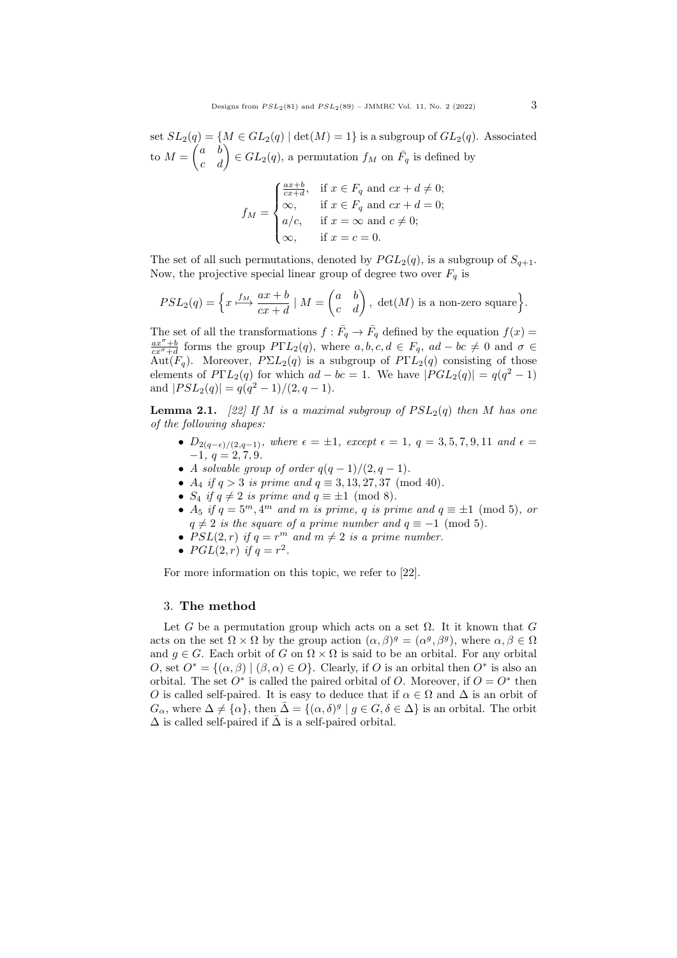set  $SL_2(q) = \{M \in GL_2(q) \mid \det(M) = 1\}$  is a subgroup of  $GL_2(q)$ . Associated to  $M = \begin{pmatrix} a & b \\ c & d \end{pmatrix} \in GL_2(q)$ , a permutation  $f_M$  on  $\overline{F}_q$  is defined by

$$
f_M = \begin{cases} \frac{ax+b}{cx+d}, & \text{if } x \in F_q \text{ and } cx+d \neq 0; \\ \infty, & \text{if } x \in F_q \text{ and } cx+d = 0; \\ a/c, & \text{if } x = \infty \text{ and } c \neq 0; \\ \infty, & \text{if } x = c = 0. \end{cases}
$$

The set of all such permutations, denoted by  $PGL_2(q)$ , is a subgroup of  $S_{q+1}$ . Now, the projective special linear group of degree two over  $F_q$  is

$$
PSL_2(q) = \left\{ x \stackrel{f_M}{\longmapsto} \frac{ax+b}{cx+d} \mid M = \begin{pmatrix} a & b \\ c & d \end{pmatrix}, \det(M) \text{ is a non-zero square} \right\}.
$$

The set of all the transformations  $f: \overline{F}_q \to \overline{F}_q$  defined by the equation  $f(x) =$  $\frac{ax^{\sigma}+b}{cx^{\sigma}+d}$  forms the group  $P\Gamma L_2(q)$ , where  $a, b, c, d \in F_q$ ,  $ad - bc \neq 0$  and  $\sigma \in$ Aut $(F_q)$ . Moreover,  $P\Sigma L_2(q)$  is a subgroup of  $P\Gamma L_2(q)$  consisting of those elements of  $P\Gamma L_2(q)$  for which  $ad - bc = 1$ . We have  $|PGL_2(q)| = q(q^2 - 1)$ and  $|PSL_2(q)| = q(q^2-1)/(2, q-1).$ 

<span id="page-2-0"></span>**Lemma 2.1.** [\[22\]](#page-7-11) If M is a maximal subgroup of  $PSL_2(q)$  then M has one of the following shapes:

- $D_{2(q-\epsilon)/(2,q-1)}$ , where  $\epsilon = \pm 1$ , except  $\epsilon = 1$ ,  $q = 3, 5, 7, 9, 11$  and  $\epsilon =$  $-1, q = 2, 7, 9.$
- A solvable group of order  $q(q-1)/(2, q-1)$ .
- $A_4$  if  $q > 3$  is prime and  $q \equiv 3, 13, 27, 37 \pmod{40}$ .
- $S_4$  if  $q \neq 2$  is prime and  $q \equiv \pm 1 \pmod{8}$ .
- $A_5$  if  $q = 5^m, 4^m$  and m is prime, q is prime and  $q \equiv \pm 1 \pmod{5}$ , or  $q \neq 2$  is the square of a prime number and  $q \equiv -1 \pmod{5}$ .
- $PSL(2,r)$  if  $q = r^m$  and  $m \neq 2$  is a prime number.
- $PGL(2,r)$  if  $q = r^2$ .

For more information on this topic, we refer to [\[22\]](#page-7-11).

### 3. The method

Let G be a permutation group which acts on a set  $\Omega$ . It it known that G acts on the set  $\Omega \times \Omega$  by the group action  $(\alpha, \beta)^g = (\alpha^g, \beta^g)$ , where  $\alpha, \beta \in \Omega$ and  $q \in G$ . Each orbit of G on  $\Omega \times \Omega$  is said to be an orbital. For any orbital O, set  $O^* = \{(\alpha, \beta) | (\beta, \alpha) \in O\}$ . Clearly, if O is an orbital then  $O^*$  is also an orbital. The set  $O^*$  is called the paired orbital of O. Moreover, if  $O = O^*$  then O is called self-paired. It is easy to deduce that if  $\alpha \in \Omega$  and  $\Delta$  is an orbit of  $G_{\alpha}$ , where  $\Delta \neq {\alpha}$ , then  $\bar{\Delta} = {(\alpha, \delta)^g | g \in G, \delta \in \Delta}$  is an orbital. The orbit  $\Delta$  is called self-paired if  $\bar{\Delta}$  is a self-paired orbital.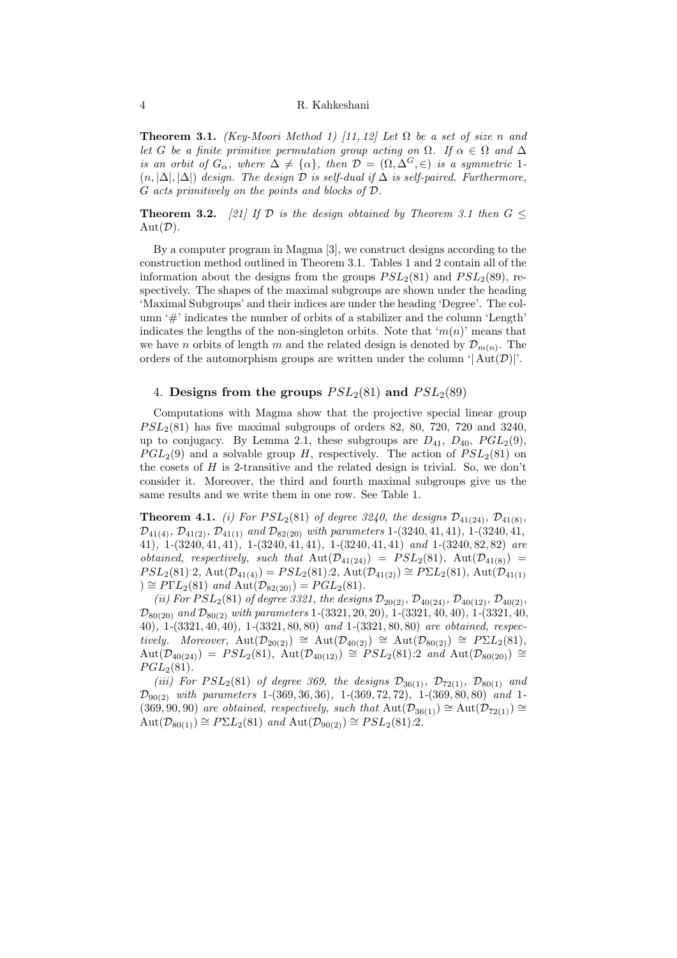<span id="page-3-0"></span>**Theorem 3.1.** (Key-Moori Method 1) [\[11,](#page-7-0) [12\]](#page-7-1) Let  $\Omega$  be a set of size n and let G be a finite primitive permutation group acting on  $\Omega$ . If  $\alpha \in \Omega$  and  $\Delta$ is an orbit of  $G_{\alpha}$ , where  $\Delta \neq {\alpha}$ , then  $\mathcal{D} = (\Omega, \Delta^G, \in)$  is a symmetric 1- $(n, |\Delta|, |\Delta|)$  design. The design  $\mathcal D$  is self-dual if  $\Delta$  is self-paired. Furthermore, G acts primitively on the points and blocks of D.

<span id="page-3-1"></span>**Theorem 3.2.** [\[21\]](#page-7-12) If D is the design obtained by Theorem [3.1](#page-3-0) then  $G \leq$  $Aut(D).$ 

By a computer program in Magma [\[3\]](#page-6-7), we construct designs according to the construction method outlined in Theorem [3.1.](#page-3-0) Tables [1](#page-4-0) and [2](#page-4-1) contain all of the information about the designs from the groups  $PSL<sub>2</sub>(81)$  and  $PSL<sub>2</sub>(89)$ , respectively. The shapes of the maximal subgroups are shown under the heading 'Maximal Subgroups' and their indices are under the heading 'Degree'. The column '#' indicates the number of orbits of a stabilizer and the column 'Length' indicates the lengths of the non-singleton orbits. Note that ' $m(n)$ ' means that we have *n* orbits of length *m* and the related design is denoted by  $\mathcal{D}_{m(n)}$ . The orders of the automorphism groups are written under the column ' $|Aut(\mathcal{D})|$ '.

## 4. Designs from the groups  $PSL_2(81)$  and  $PSL_2(89)$

Computations with Magma show that the projective special linear group  $PSL<sub>2</sub>(81)$  has five maximal subgroups of orders 82, 80, 720, 720 and 3240, up to conjugacy. By Lemma [2.1,](#page-2-0) these subgroups are  $D_{41}$ ,  $D_{40}$ ,  $PGL_2(9)$ ,  $PGL_2(9)$  and a solvable group H, respectively. The action of  $PSL_2(81)$  on the cosets of  $H$  is 2-transitive and the related design is trivial. So, we don't consider it. Moreover, the third and fourth maximal subgroups give us the same results and we write them in one row. See Table [1.](#page-4-0)

**Theorem 4.1.** (i) For  $PSL_2(81)$  of degree 3240, the designs  $\mathcal{D}_{41(24)}$ ,  $\mathcal{D}_{41(8)}$ ,  $\mathcal{D}_{41(4)}$ ,  $\mathcal{D}_{41(2)}$ ,  $\mathcal{D}_{41(1)}$  and  $\mathcal{D}_{82(20)}$  with parameters 1-(3240, 41, 41), 1-(3240, 41, 41), 1-(3240, 41, 41), 1-(3240, 41, 41), 1-(3240, 41, 41) and 1-(3240, 82, 82) are obtained, respectively, such that  $Aut(\mathcal{D}_{41(24)}) = PSL_2(81)$ ,  $Aut(\mathcal{D}_{41(8)}) =$  $PSL_2(81)$ : 2, Aut $(\mathcal{D}_{41(4)}) = PSL_2(81)$ : 2, Aut $(\mathcal{D}_{41(2)}) \cong PSL_2(81)$ , Aut $(\mathcal{D}_{41(1)})$ ) ≅  $P\Gamma L_2(81)$  and  $\text{Aut}(\mathcal{D}_{82(20)}) = PGL_2(81)$ .

(ii) For  $PSL_2(81)$  of degree 3321, the designs  $\mathcal{D}_{20(2)}$ ,  $\mathcal{D}_{40(24)}$ ,  $\mathcal{D}_{40(12)}$ ,  $\mathcal{D}_{40(2)}$ ,  $\mathcal{D}_{80(20)}$  and  $\mathcal{D}_{80(2)}$  with parameters 1-(3321, 20, 20), 1-(3321, 40, 40), 1-(3321, 40, 40), 1-(3321, 40, 40), 1-(3321, 80, 80) and 1-(3321, 80, 80) are obtained, respectively. Moreover,  $Aut(\mathcal{D}_{20(2)}) \cong Aut(\mathcal{D}_{40(2)}) \cong Aut(\mathcal{D}_{80(2)}) \cong P\Sigma L_2(81),$ Aut( $\mathcal{D}_{40(24)}) = PSL_2(81)$ , Aut( $\mathcal{D}_{40(12)}) \cong PSL_2(81):2$  and Aut( $\mathcal{D}_{80(20)}) \cong$  $PGL_2(81)$ .

(iii) For  $PSL_2(81)$  of degree 369, the designs  $\mathcal{D}_{36(1)}$ ,  $\mathcal{D}_{72(1)}$ ,  $\mathcal{D}_{80(1)}$  and  $\mathcal{D}_{90(2)}$  with parameters 1-(369, 36, 36), 1-(369, 72, 72), 1-(369, 80, 80) and 1-(369, 90, 90) are obtained, respectively, such that  $Aut(\mathcal{D}_{36(1)}) \cong Aut(\mathcal{D}_{72(1)}) \cong$  $\text{Aut}(\mathcal{D}_{80(1)}) \cong P\Sigma L_2(81)$  and  $\text{Aut}(\mathcal{D}_{90(2)}) \cong PSL_2(81):2$ .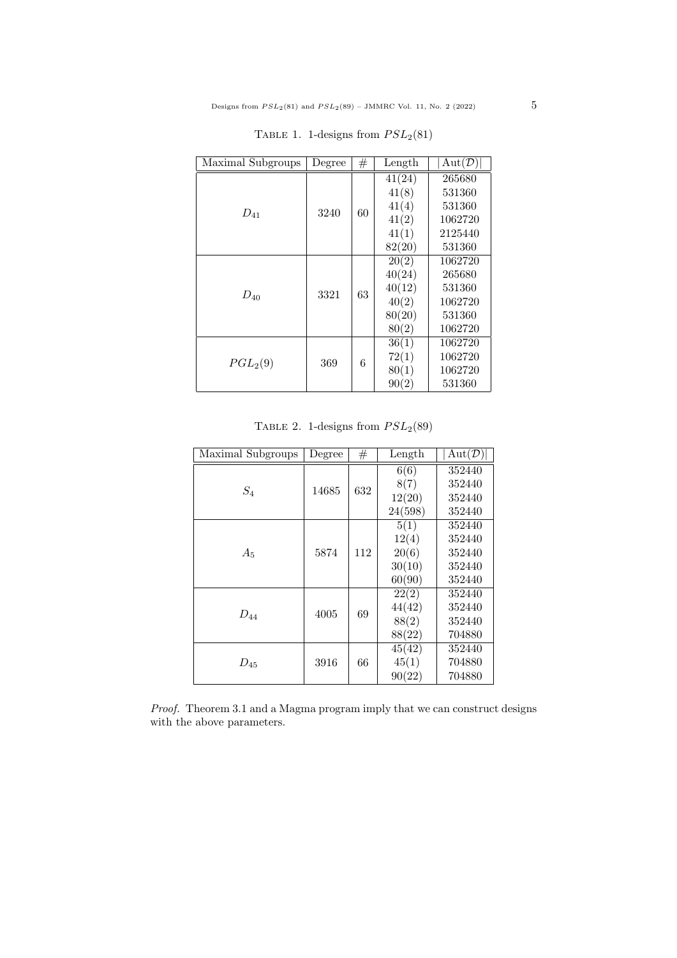<span id="page-4-0"></span>

| Maximal Subgroups    | Degree | #  | Length | Aut(D)  |
|----------------------|--------|----|--------|---------|
| $D_{41}$             | 3240   | 60 | 41(24) | 265680  |
|                      |        |    | 41(8)  | 531360  |
|                      |        |    | 41(4)  | 531360  |
|                      |        |    | 41(2)  | 1062720 |
|                      |        |    | 41(1)  | 2125440 |
|                      |        |    | 82(20) | 531360  |
| $D_{40}$             | 3321   | 63 | 20(2)  | 1062720 |
|                      |        |    | 40(24) | 265680  |
|                      |        |    | 40(12) | 531360  |
|                      |        |    | 40(2)  | 1062720 |
|                      |        |    | 80(20) | 531360  |
|                      |        |    | 80(2)  | 1062720 |
| PGL <sub>2</sub> (9) | 369    | 6  | 36(1)  | 1062720 |
|                      |        |    | 72(1)  | 1062720 |
|                      |        |    | 80(1)  | 1062720 |
|                      |        |    | 90(2)  | 531360  |

TABLE 1. 1-designs from  $PSL_2(81)$ 

|  |  |  | TABLE 2. 1-designs from $PSL_2(89)$ |
|--|--|--|-------------------------------------|
|--|--|--|-------------------------------------|

<span id="page-4-1"></span>

| Maximal Subgroups | Degree | #   | Length       | Aut(D)           |
|-------------------|--------|-----|--------------|------------------|
| $S_4$             | 14685  | 632 | 6(6)<br>8(7) | 352440<br>352440 |
|                   |        |     | 12(20)       | 352440           |
|                   |        |     | 24(598)      | 352440           |
| $A_5$             | 5874   | 112 | 5(1)         | 352440           |
|                   |        |     | 12(4)        | 352440           |
|                   |        |     | 20(6)        | 352440           |
|                   |        |     | 30(10)       | 352440           |
|                   |        |     | 60(90)       | 352440           |
| $D_{44}$          | 4005   | 69  | 22(2)        | 352440           |
|                   |        |     | 44(42)       | 352440           |
|                   |        |     | 88(2)        | 352440           |
|                   |        |     | 88(22)       | 704880           |
| $D_{45}$          | 3916   | 66  | 45(42)       | 352440           |
|                   |        |     | 45(1)        | 704880           |
|                   |        |     | 90(22)       | 704880           |

Proof. Theorem [3.1](#page-3-0) and a Magma program imply that we can construct designs with the above parameters.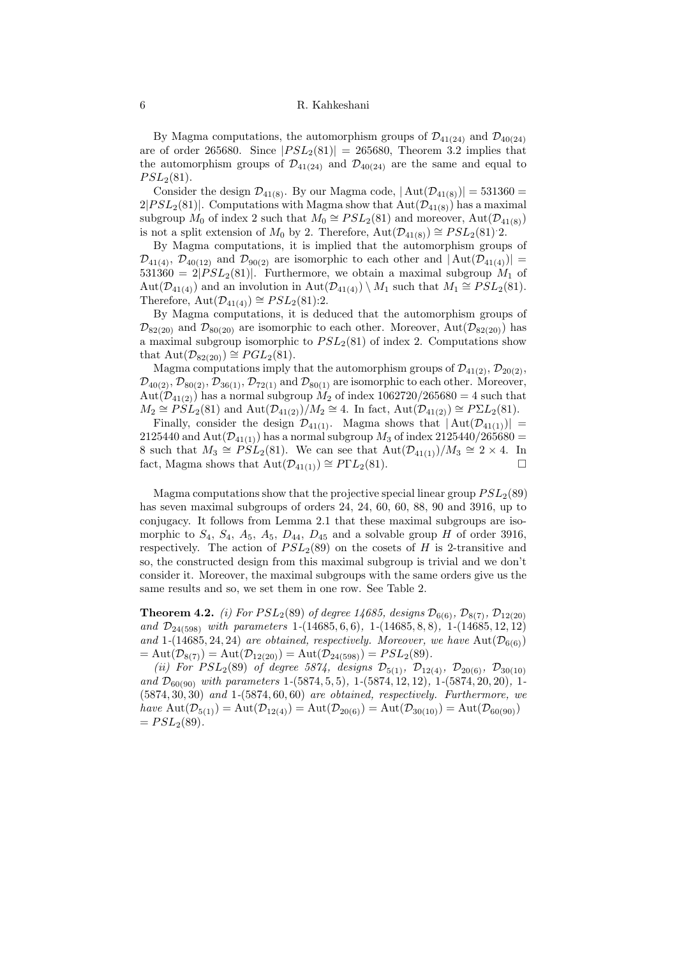By Magma computations, the automorphism groups of  $\mathcal{D}_{41(24)}$  and  $\mathcal{D}_{40(24)}$ are of order 265680. Since  $|PSL_2(81)| = 265680$ , Theorem [3.2](#page-3-1) implies that the automorphism groups of  $\mathcal{D}_{41(24)}$  and  $\mathcal{D}_{40(24)}$  are the same and equal to  $PSL_2(81).$ 

Consider the design  $\mathcal{D}_{41(8)}$ . By our Magma code,  $|\text{Aut}(\mathcal{D}_{41(8)})|=531360=$  $2|PSL_2(81)|$ . Computations with Magma show that  $Aut(\mathcal{D}_{41(8)})$  has a maximal subgroup  $M_0$  of index 2 such that  $M_0 \cong PSL_2(81)$  and moreover,  $Aut(\mathcal{D}_{41(8)})$ is not a split extension of  $M_0$  by 2. Therefore,  $Aut(\mathcal{D}_{41(8)}) \cong PSL_2(81)$ .

By Magma computations, it is implied that the automorphism groups of  $\mathcal{D}_{41(4)}$ ,  $\mathcal{D}_{40(12)}$  and  $\mathcal{D}_{90(2)}$  are isomorphic to each other and  $|\text{Aut}(\mathcal{D}_{41(4)})|=$  $531360 = 2|PSL_2(81)|$ . Furthermore, we obtain a maximal subgroup  $M_1$  of Aut $(\mathcal{D}_{41(4)})$  and an involution in Aut $(\mathcal{D}_{41(4)}) \setminus M_1$  such that  $M_1 \cong PSL_2(81)$ . Therefore,  $Aut(\mathcal{D}_{41(4)}) \cong PSL_2(81):2$ .

By Magma computations, it is deduced that the automorphism groups of  $\mathcal{D}_{82(20)}$  and  $\mathcal{D}_{80(20)}$  are isomorphic to each other. Moreover, Aut $(\mathcal{D}_{82(20)})$  has a maximal subgroup isomorphic to  $PSL_2(81)$  of index 2. Computations show that  $\text{Aut}(\mathcal{D}_{82(20)}) \cong PGL_2(81)$ .

Magma computations imply that the automorphism groups of  $\mathcal{D}_{41(2)}$ ,  $\mathcal{D}_{20(2)}$ ,  $\mathcal{D}_{40(2)}, \mathcal{D}_{80(2)}, \mathcal{D}_{36(1)}, \mathcal{D}_{72(1)}$  and  $\mathcal{D}_{80(1)}$  are isomorphic to each other. Moreover, Aut $(\mathcal{D}_{41(2)})$  has a normal subgroup  $M_2$  of index 1062720/265680 = 4 such that  $M_2 \cong \widetilde{PSL}_2(81)$  and  $\mathrm{Aut}(\mathcal{D}_{41(2)})/M_2 \cong 4$ . In fact,  $\mathrm{Aut}(\mathcal{D}_{41(2)}) \cong P\Sigma L_2(81)$ .

Finally, consider the design  $\mathcal{D}_{41(1)}$ . Magma shows that  $|\text{Aut}(\mathcal{D}_{41(1)})|$  = 2125440 and Aut $(\mathcal{D}_{41(1)})$  has a normal subgroup  $M_3$  of index 2125440/265680 = 8 such that  $M_3 \cong PSL_2(81)$ . We can see that  $Aut(\mathcal{D}_{41(1)})/M_3 \cong 2 \times 4$ . In fact, Magma shows that  $Aut(\mathcal{D}_{41(1)}) \cong P\Gamma L_2(81)$ .

Magma computations show that the projective special linear group  $PSL<sub>2</sub>(89)$ has seven maximal subgroups of orders 24, 24, 60, 60, 88, 90 and 3916, up to conjugacy. It follows from Lemma [2.1](#page-2-0) that these maximal subgroups are isomorphic to  $S_4$ ,  $S_4$ ,  $A_5$ ,  $A_5$ ,  $D_{44}$ ,  $D_{45}$  and a solvable group H of order 3916, respectively. The action of  $PSL<sub>2</sub>(89)$  on the cosets of H is 2-transitive and so, the constructed design from this maximal subgroup is trivial and we don't consider it. Moreover, the maximal subgroups with the same orders give us the same results and so, we set them in one row. See Table [2.](#page-4-1)

**Theorem 4.2.** (i) For  $PSL_2(89)$  of degree 14685, designs  $\mathcal{D}_{6(6)}$ ,  $\mathcal{D}_{8(7)}$ ,  $\mathcal{D}_{12(20)}$ and  $\mathcal{D}_{24(598)}$  with parameters 1-(14685, 6, 6), 1-(14685, 8, 8), 1-(14685, 12, 12) and 1-(14685, 24, 24) are obtained, respectively. Moreover, we have  $Aut(\mathcal{D}_{6(6)})$  $= \text{Aut}(\mathcal{D}_{8(7)}) = \text{Aut}(\mathcal{D}_{12(20)}) = \text{Aut}(\mathcal{D}_{24(598)}) = PSL_2(89).$ 

(ii) For  $PSL_2(89)$  of degree 5874, designs  $\mathcal{D}_{5(1)}$ ,  $\mathcal{D}_{12(4)}$ ,  $\mathcal{D}_{20(6)}$ ,  $\mathcal{D}_{30(10)}$ and  $\mathcal{D}_{60(90)}$  with parameters 1-(5874, 5, 5), 1-(5874, 12, 12), 1-(5874, 20, 20), 1-(5874, 30, 30) and 1-(5874, 60, 60) are obtained, respectively. Furthermore, we have  $\text{Aut}(\mathcal{D}_{5(1)}) = \text{Aut}(\mathcal{D}_{12(4)}) = \text{Aut}(\mathcal{D}_{20(6)}) = \text{Aut}(\mathcal{D}_{30(10)}) = \text{Aut}(\mathcal{D}_{60(90)})$  $= PSL<sub>2</sub>(89).$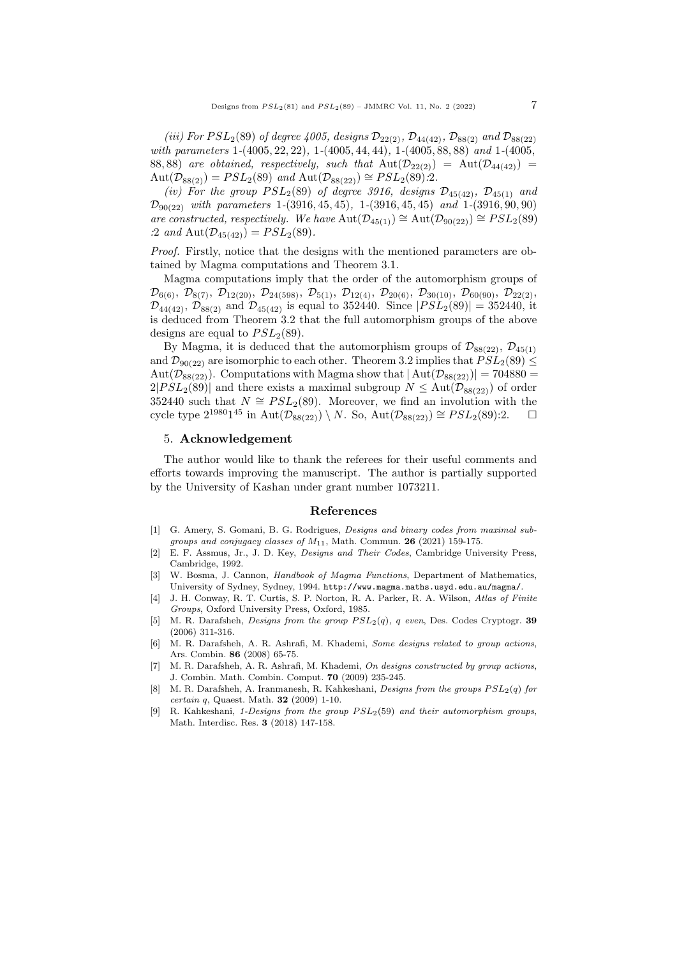(iii) For  $PSL_2(89)$  of degree 4005, designs  $\mathcal{D}_{22(2)}$ ,  $\mathcal{D}_{44(42)}$ ,  $\mathcal{D}_{88(2)}$  and  $\mathcal{D}_{88(22)}$ with parameters 1-(4005, 22, 22), 1-(4005, 44, 44), 1-(4005, 88, 88) and 1-(4005, 88, 88) are obtained, respectively, such that  $Aut(\mathcal{D}_{22(2)}) = Aut(\mathcal{D}_{44(42)}) =$  $\text{Aut}(\mathcal{D}_{88(2)}) = PSL_2(89)$  and  $\text{Aut}(\mathcal{D}_{88(22)}) \cong PSL_2(89).2$ .

(iv) For the group  $PSL_2(89)$  of degree 3916, designs  $\mathcal{D}_{45(42)}$ ,  $\mathcal{D}_{45(1)}$  and  $\mathcal{D}_{90(22)}$  with parameters 1-(3916, 45, 45), 1-(3916, 45, 45) and 1-(3916, 90, 90) are constructed, respectively. We have  $\text{Aut}(\mathcal{D}_{45(1)}) \cong \text{Aut}(\mathcal{D}_{90(22)}) \cong PSL_2(89)$ :2 and  $\text{Aut}(\mathcal{D}_{45(42)}) = PSL_2(89)$ .

Proof. Firstly, notice that the designs with the mentioned parameters are obtained by Magma computations and Theorem [3.1.](#page-3-0)

Magma computations imply that the order of the automorphism groups of  $\mathcal{D}_{6(6)}$ ,  $\mathcal{D}_{8(7)}$ ,  $\mathcal{D}_{12(20)}$ ,  $\mathcal{D}_{24(598)}$ ,  $\mathcal{D}_{5(1)}$ ,  $\mathcal{D}_{12(4)}$ ,  $\mathcal{D}_{20(6)}$ ,  $\mathcal{D}_{30(10)}$ ,  $\mathcal{D}_{60(90)}$ ,  $\mathcal{D}_{22(2)}$  $\mathcal{D}_{44(42)}$ ,  $\mathcal{D}_{88(2)}$  and  $\mathcal{D}_{45(42)}$  is equal to 352440. Since  $|PSL_2(89)| = 352440$ , it is deduced from Theorem [3.2](#page-3-1) that the full automorphism groups of the above designs are equal to  $PSL<sub>2</sub>(89)$ .

By Magma, it is deduced that the automorphism groups of  $\mathcal{D}_{88(22)}$ ,  $\mathcal{D}_{45(1)}$ and  $\mathcal{D}_{90(22)}$  are isomorphic to each other. Theorem [3.2](#page-3-1) implies that  $PSL_2(89) \leq$ Aut $(\mathcal{D}_{88(22)})$ . Computations with Magma show that  $|Aut(\mathcal{D}_{88(22)})| = 704880$  $2|PSL_2(89)|$  and there exists a maximal subgroup  $N \leq \text{Aut}(\mathcal{D}_{88(22)})$  of order 352440 such that  $N \cong PSL_2(89)$ . Moreover, we find an involution with the cycle type  $2^{1980}1^{45}$  in Aut $(\overline{\mathcal{D}_{88(22)}}) \setminus N$ . So, Aut $(\mathcal{D}_{88(22)}) \cong PSL_2(89)$ :2.  $\Box$ 

### 5. Acknowledgement

The author would like to thank the referees for their useful comments and efforts towards improving the manuscript. The author is partially supported by the University of Kashan under grant number 1073211.

#### References

- <span id="page-6-0"></span>[1] G. Amery, S. Gomani, B. G. Rodrigues, Designs and binary codes from maximal subgroups and conjugacy classes of  $M_{11}$ , Math. Commun. 26 (2021) 159-175.
- <span id="page-6-6"></span>[2] E. F. Assmus, Jr., J. D. Key, Designs and Their Codes, Cambridge University Press, Cambridge, 1992.
- <span id="page-6-7"></span>[3] W. Bosma, J. Cannon, Handbook of Magma Functions, Department of Mathematics, University of Sydney, Sydney, 1994. http://www.magma.maths.usyd.edu.au/magma/.
- <span id="page-6-5"></span>[4] J. H. Conway, R. T. Curtis, S. P. Norton, R. A. Parker, R. A. Wilson, Atlas of Finite Groups, Oxford University Press, Oxford, 1985.
- <span id="page-6-3"></span>[5] M. R. Darafsheh, *Designs from the group*  $PSL<sub>2</sub>(q)$ , q even, Des. Codes Cryptogr. 39 (2006) 311-316.
- <span id="page-6-1"></span>[6] M. R. Darafsheh, A. R. Ashrafi, M. Khademi, Some designs related to group actions, Ars. Combin. 86 (2008) 65-75.
- [7] M. R. Darafsheh, A. R. Ashrafi, M. Khademi, On designs constructed by group actions, J. Combin. Math. Combin. Comput. 70 (2009) 235-245.
- <span id="page-6-2"></span>[8] M. R. Darafsheh, A. Iranmanesh, R. Kahkeshani, Designs from the groups  $PSL<sub>2</sub>(q)$  for certain q, Quaest. Math. 32 (2009) 1-10.
- <span id="page-6-4"></span>R. Kahkeshani, 1-Designs from the group  $PSL<sub>2</sub>(59)$  and their automorphism groups, Math. Interdisc. Res. 3 (2018) 147-158.